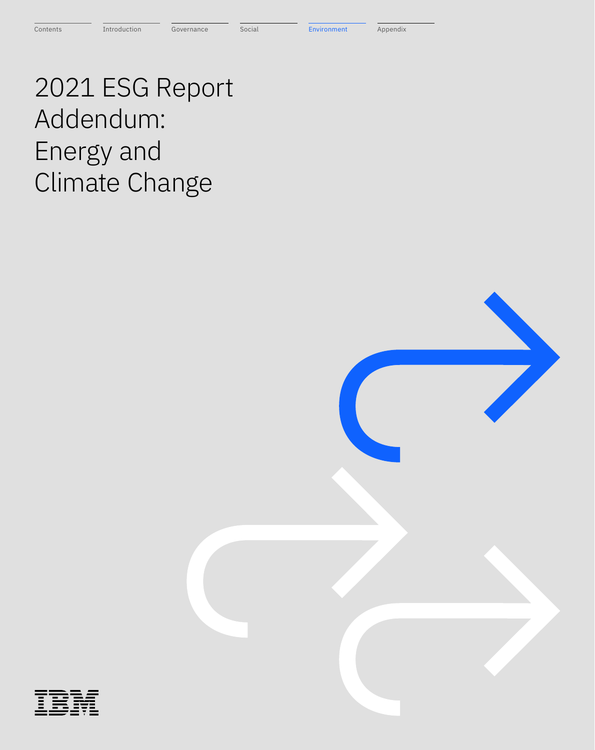# 2021 ESG Report Addendum: Energy and Climate Change



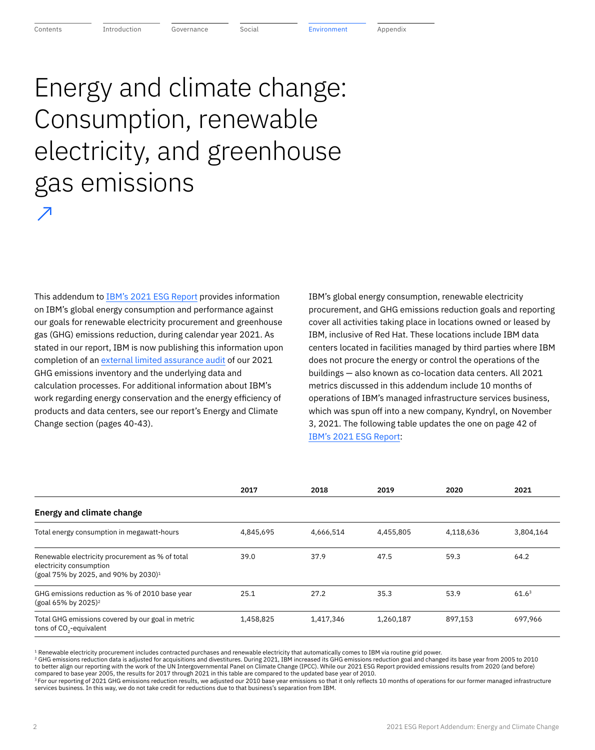# Energy and climate change: Consumption, renewable electricity, and greenhouse gas emissions ↗

This addendum to [IBM's 2021 ESG Report](https://www.ibm.com/impact/files/reports-policies/2021/IBM_2021_ESG_Report.pdf) provides information on IBM's global energy consumption and performance against our goals for renewable electricity procurement and greenhouse gas (GHG) emissions reduction, during calendar year 2021. As stated in our report, IBM is now publishing this information upon completion of an [external limited assurance audit](https://www.ibm.com/ibm/environment/annual/verification.shtml) of our 2021 GHG emissions inventory and the underlying data and calculation processes. For additional information about IBM's work regarding energy conservation and the energy efficiency of products and data centers, see our report's Energy and Climate Change section (pages 40-43).

IBM's global energy consumption, renewable electricity procurement, and GHG emissions reduction goals and reporting cover all activities taking place in locations owned or leased by IBM, inclusive of Red Hat. These locations include IBM data centers located in facilities managed by third parties where IBM does not procure the energy or control the operations of the buildings — also known as co-location data centers. All 2021 metrics discussed in this addendum include 10 months of operations of IBM's managed infrastructure services business, which was spun off into a new company, Kyndryl, on November 3, 2021. The following table updates the one on page 42 of [IBM's 2021 ESG Report:](https://www.ibm.com/impact/files/reports-policies/2021/IBM_2021_ESG_Report.pdf)

|                                                                                                                                | 2017      | 2018      | 2019      | 2020      | 2021      |
|--------------------------------------------------------------------------------------------------------------------------------|-----------|-----------|-----------|-----------|-----------|
| Energy and climate change                                                                                                      |           |           |           |           |           |
| Total energy consumption in megawatt-hours                                                                                     | 4,845,695 | 4,666,514 | 4,455,805 | 4,118,636 | 3,804,164 |
| Renewable electricity procurement as % of total<br>electricity consumption<br>(goal 75% by 2025, and 90% by 2030) <sup>1</sup> | 39.0      | 37.9      | 47.5      | 59.3      | 64.2      |
| GHG emissions reduction as % of 2010 base year<br>(goal 65% by 2025) <sup>2</sup>                                              | 25.1      | 27.2      | 35.3      | 53.9      | $61.6^3$  |
| Total GHG emissions covered by our goal in metric<br>tons of CO <sub>2</sub> -equivalent                                       | 1,458,825 | 1,417,346 | 1,260,187 | 897,153   | 697,966   |

<sup>1</sup> Renewable electricity procurement includes contracted purchases and renewable electricity that automatically comes to IBM via routine grid power.

2 GHG emissions reduction data is adjusted for acquisitions and divestitures. During 2021, IBM increased its GHG emissions reduction goal and changed its base year from 2005 to 2010 to better align our reporting with the work of the UN Intergovernmental Panel on Climate Change (IPCC). While our 2021 ESG Report provided emissions results from 2020 (and before)

compared to base year 2005, the results for 2017 through 2021 in this table are compared to the updated base year of 2010.<br><sup>3</sup>For our reporting of 2021 GHG emissions reduction results, we adjusted our 2010 base year emissi services business. In this way, we do not take credit for reductions due to that business's separation from IBM.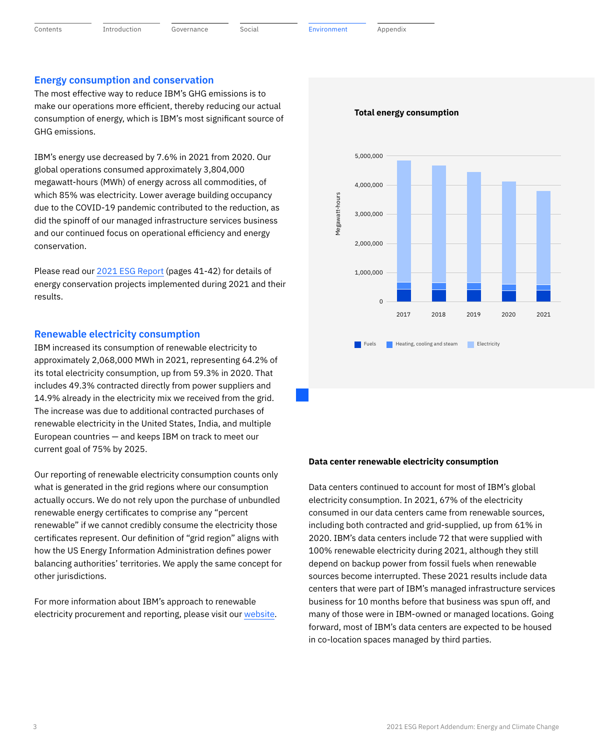The most effective way to reduce IBM's GHG emissions is to make our operations more efficient, thereby reducing our actual consumption of energy, which is IBM's most significant source of GHG emissions.

IBM's energy use decreased by 7.6% in 2021 from 2020. Our global operations consumed approximately 3,804,000 megawatt-hours (MWh) of energy across all commodities, of which 85% was electricity. Lower average building occupancy due to the COVID-19 pandemic contributed to the reduction, as did the spinoff of our managed infrastructure services business and our continued focus on operational efficiency and energy conservation.

Please read our [2021 ESG Report](https://www.ibm.com/impact/files/reports-policies/2021/IBM_2021_ESG_Report.pdf) (pages 41-42) for details of energy conservation projects implemented during 2021 and their results.

## **Renewable electricity consumption**

IBM increased its consumption of renewable electricity to approximately 2,068,000 MWh in 2021, representing 64.2% of its total electricity consumption, up from 59.3% in 2020. That includes 49.3% contracted directly from power suppliers and 14.9% already in the electricity mix we received from the grid. The increase was due to additional contracted purchases of renewable electricity in the United States, India, and multiple European countries — and keeps IBM on track to meet our current goal of 75% by 2025.

Our reporting of renewable electricity consumption counts only what is generated in the grid regions where our consumption actually occurs. We do not rely upon the purchase of unbundled renewable energy certificates to comprise any "percent renewable" if we cannot credibly consume the electricity those certificates represent. Our definition of "grid region" aligns with how the US Energy Information Administration defines power balancing authorities' territories. We apply the same concept for other jurisdictions.

For more information about IBM's approach to renewable electricity procurement and reporting, please visit our [website](https://www.ibm.com/ibm/environment/climate/renewable_energy.shtml).



### **Total energy consumption**

## **Data center renewable electricity consumption**

Data centers continued to account for most of IBM's global electricity consumption. In 2021, 67% of the electricity consumed in our data centers came from renewable sources, including both contracted and grid-supplied, up from 61% in 2020. IBM's data centers include 72 that were supplied with 100% renewable electricity during 2021, although they still depend on backup power from fossil fuels when renewable sources become interrupted. These 2021 results include data centers that were part of IBM's managed infrastructure services business for 10 months before that business was spun off, and many of those were in IBM-owned or managed locations. Going forward, most of IBM's data centers are expected to be housed in co-location spaces managed by third parties.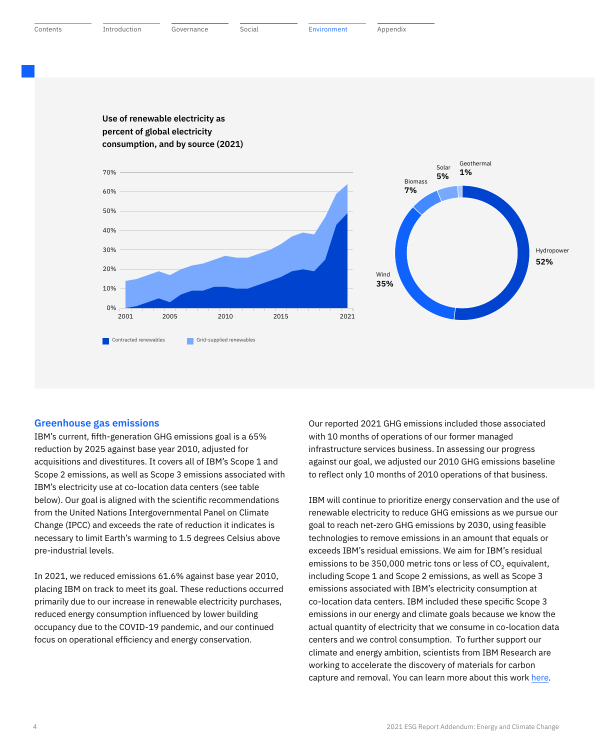**Use of renewable electricity as percent of global electricity consumption, and by source (2021)**



### **Greenhouse gas emissions**

IBM's current, fifth-generation GHG emissions goal is a 65% reduction by 2025 against base year 2010, adjusted for acquisitions and divestitures. It covers all of IBM's Scope 1 and Scope 2 emissions, as well as Scope 3 emissions associated with IBM's electricity use at co-location data centers (see table below). Our goal is aligned with the scientific recommendations from the United Nations Intergovernmental Panel on Climate Change (IPCC) and exceeds the rate of reduction it indicates is necessary to limit Earth's warming to 1.5 degrees Celsius above pre-industrial levels.

In 2021, we reduced emissions 61.6% against base year 2010, placing IBM on track to meet its goal. These reductions occurred primarily due to our increase in renewable electricity purchases, reduced energy consumption influenced by lower building occupancy due to the COVID-19 pandemic, and our continued focus on operational efficiency and energy conservation.

Our reported 2021 GHG emissions included those associated with 10 months of operations of our former managed infrastructure services business. In assessing our progress against our goal, we adjusted our 2010 GHG emissions baseline to reflect only 10 months of 2010 operations of that business.

IBM will continue to prioritize energy conservation and the use of renewable electricity to reduce GHG emissions as we pursue our goal to reach net-zero GHG emissions by 2030, using feasible technologies to remove emissions in an amount that equals or exceeds IBM's residual emissions. We aim for IBM's residual emissions to be 350,000 metric tons or less of CO<sub>2</sub> equivalent, including Scope 1 and Scope 2 emissions, as well as Scope 3 emissions associated with IBM's electricity consumption at co-location data centers. IBM included these specific Scope 3 emissions in our energy and climate goals because we know the actual quantity of electricity that we consume in co-location data centers and we control consumption. To further support our climate and energy ambition, scientists from IBM Research are working to accelerate the discovery of materials for carbon capture and removal. You can learn more about this work [here.](https://research.ibm.com/blog/accelerating-materials-discovery)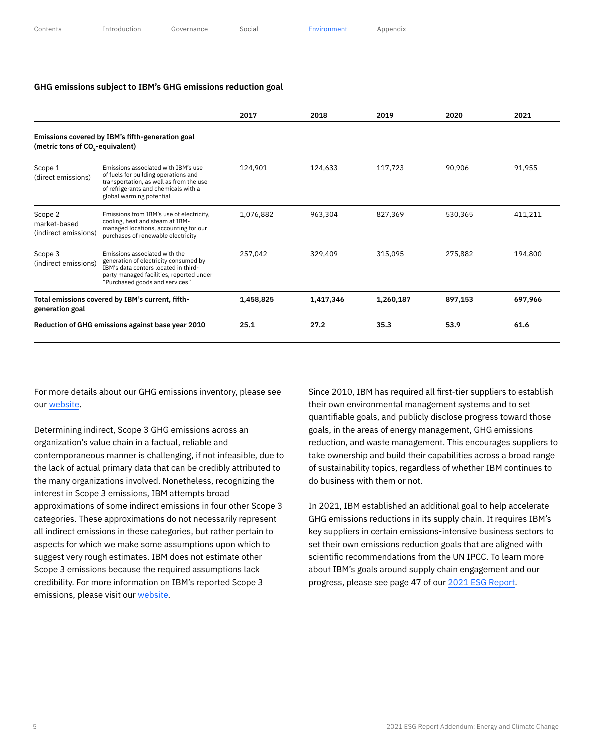#### **GHG emissions subject to IBM's GHG emissions reduction goal**

|                                                 |                                                                                                                                                                                              | 2017      | 2018      | 2019      | 2020    | 2021    |
|-------------------------------------------------|----------------------------------------------------------------------------------------------------------------------------------------------------------------------------------------------|-----------|-----------|-----------|---------|---------|
| (metric tons of CO <sub>2</sub> -equivalent)    | Emissions covered by IBM's fifth-generation goal                                                                                                                                             |           |           |           |         |         |
| Scope 1<br>(direct emissions)                   | Emissions associated with IBM's use<br>of fuels for building operations and<br>transportation, as well as from the use<br>of refrigerants and chemicals with a<br>global warming potential   | 124,901   | 124,633   | 117,723   | 90,906  | 91,955  |
| Scope 2<br>market-based<br>(indirect emissions) | Emissions from IBM's use of electricity,<br>cooling, heat and steam at IBM-<br>managed locations, accounting for our<br>purchases of renewable electricity                                   | 1,076,882 | 963.304   | 827,369   | 530,365 | 411,211 |
| Scope 3<br>(indirect emissions)                 | Emissions associated with the<br>generation of electricity consumed by<br>IBM's data centers located in third-<br>party managed facilities, reported under<br>"Purchased goods and services" | 257,042   | 329,409   | 315,095   | 275,882 | 194,800 |
| generation goal                                 | Total emissions covered by IBM's current, fifth-                                                                                                                                             | 1,458,825 | 1,417,346 | 1,260,187 | 897,153 | 697,966 |
|                                                 | Reduction of GHG emissions against base year 2010                                                                                                                                            | 25.1      | 27.2      | 35.3      | 53.9    | 61.6    |

For more details about our GHG emissions inventory, please see our [website](https://www.ibm.com/ibm/environment/climate/ghg.shtml).

Determining indirect, Scope 3 GHG emissions across an organization's value chain in a factual, reliable and contemporaneous manner is challenging, if not infeasible, due to the lack of actual primary data that can be credibly attributed to the many organizations involved. Nonetheless, recognizing the interest in Scope 3 emissions, IBM attempts broad approximations of some indirect emissions in four other Scope 3 categories. These approximations do not necessarily represent all indirect emissions in these categories, but rather pertain to aspects for which we make some assumptions upon which to suggest very rough estimates. IBM does not estimate other Scope 3 emissions because the required assumptions lack credibility. For more information on IBM's reported Scope 3 emissions, please visit our [website.](https://www.ibm.com/ibm/environment/climate/scope3.shtml)

Since 2010, IBM has required all first-tier suppliers to establish their own environmental management systems and to set quantifiable goals, and publicly disclose progress toward those goals, in the areas of energy management, GHG emissions reduction, and waste management. This encourages suppliers to take ownership and build their capabilities across a broad range of sustainability topics, regardless of whether IBM continues to do business with them or not.

In 2021, IBM established an additional goal to help accelerate GHG emissions reductions in its supply chain. It requires IBM's key suppliers in certain emissions-intensive business sectors to set their own emissions reduction goals that are aligned with scientific recommendations from the UN IPCC. To learn more about IBM's goals around supply chain engagement and our progress, please see page 47 of our [2021 ESG Report.](https://www.ibm.com/impact/files/reports-policies/2021/IBM_2021_ESG_Report.pdf)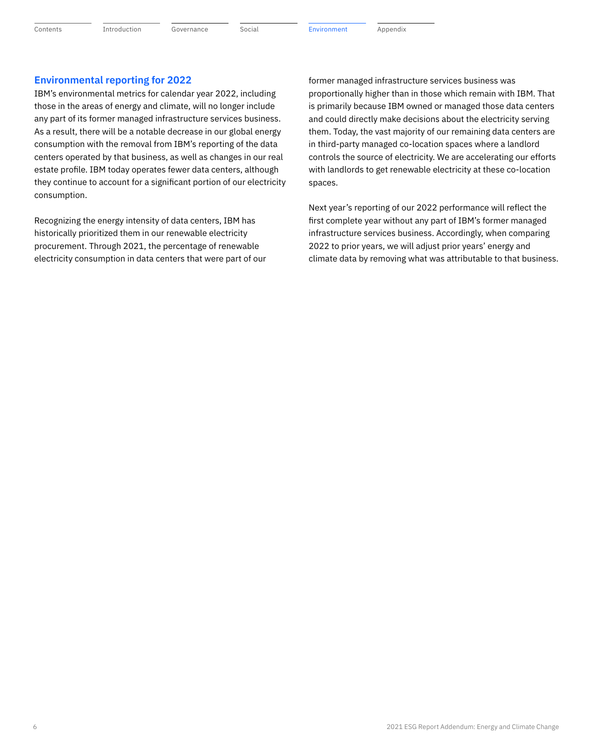## **Environmental reporting for 2022**

IBM's environmental metrics for calendar year 2022, including those in the areas of energy and climate, will no longer include any part of its former managed infrastructure services business. As a result, there will be a notable decrease in our global energy consumption with the removal from IBM's reporting of the data centers operated by that business, as well as changes in our real estate profile. IBM today operates fewer data centers, although they continue to account for a significant portion of our electricity consumption.

Recognizing the energy intensity of data centers, IBM has historically prioritized them in our renewable electricity procurement. Through 2021, the percentage of renewable electricity consumption in data centers that were part of our

former managed infrastructure services business was proportionally higher than in those which remain with IBM. That is primarily because IBM owned or managed those data centers and could directly make decisions about the electricity serving them. Today, the vast majority of our remaining data centers are in third-party managed co-location spaces where a landlord controls the source of electricity. We are accelerating our efforts with landlords to get renewable electricity at these co-location spaces.

Next year's reporting of our 2022 performance will reflect the first complete year without any part of IBM's former managed infrastructure services business. Accordingly, when comparing 2022 to prior years, we will adjust prior years' energy and climate data by removing what was attributable to that business.